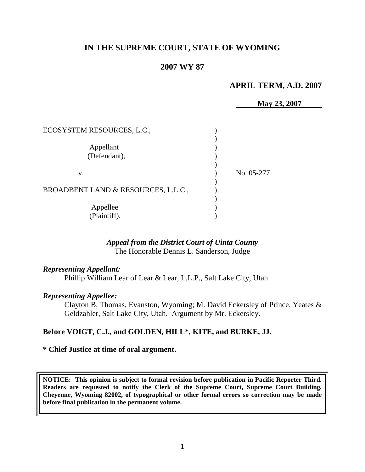# **IN THE SUPREME COURT, STATE OF WYOMING**

## **2007 WY 87**

## **APRIL TERM, A.D. 2007**

**May 23, 2007**

| ECOSYSTEM RESOURCES, L.C.,          |            |
|-------------------------------------|------------|
| Appellant<br>(Defendant),           |            |
| V.                                  | No. 05-277 |
| BROADBENT LAND & RESOURCES, L.L.C., |            |
| Appellee<br>(Plaintiff).            |            |

# *Appeal from the District Court of Uinta County*

The Honorable Dennis L. Sanderson, Judge

#### *Representing Appellant:*

Phillip William Lear of Lear & Lear, L.L.P., Salt Lake City, Utah.

#### *Representing Appellee:*

Clayton B. Thomas, Evanston, Wyoming; M. David Eckersley of Prince, Yeates & Geldzahler, Salt Lake City, Utah. Argument by Mr. Eckersley.

### **Before VOIGT, C.J., and GOLDEN, HILL\*, KITE, and BURKE, JJ.**

#### **\* Chief Justice at time of oral argument.**

**NOTICE: This opinion is subject to formal revision before publication in Pacific Reporter Third. Readers are requested to notify the Clerk of the Supreme Court, Supreme Court Building, Cheyenne, Wyoming 82002, of typographical or other formal errors so correction may be made before final publication in the permanent volume.**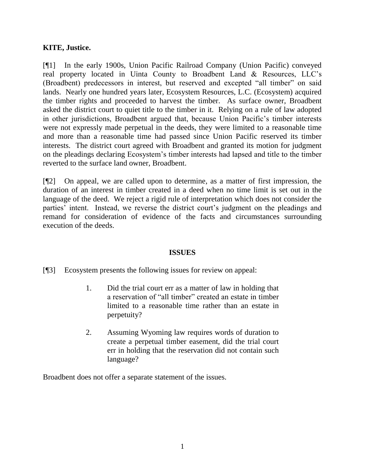# **KITE, Justice.**

[¶1] In the early 1900s, Union Pacific Railroad Company (Union Pacific) conveyed real property located in Uinta County to Broadbent Land & Resources, LLC"s (Broadbent) predecessors in interest, but reserved and excepted "all timber" on said lands. Nearly one hundred years later, Ecosystem Resources, L.C. (Ecosystem) acquired the timber rights and proceeded to harvest the timber. As surface owner, Broadbent asked the district court to quiet title to the timber in it. Relying on a rule of law adopted in other jurisdictions, Broadbent argued that, because Union Pacific's timber interests were not expressly made perpetual in the deeds, they were limited to a reasonable time and more than a reasonable time had passed since Union Pacific reserved its timber interests. The district court agreed with Broadbent and granted its motion for judgment on the pleadings declaring Ecosystem"s timber interests had lapsed and title to the timber reverted to the surface land owner, Broadbent.

[¶2] On appeal, we are called upon to determine, as a matter of first impression, the duration of an interest in timber created in a deed when no time limit is set out in the language of the deed. We reject a rigid rule of interpretation which does not consider the parties' intent. Instead, we reverse the district court's judgment on the pleadings and remand for consideration of evidence of the facts and circumstances surrounding execution of the deeds.

# **ISSUES**

[¶3] Ecosystem presents the following issues for review on appeal:

- 1. Did the trial court err as a matter of law in holding that a reservation of "all timber" created an estate in timber limited to a reasonable time rather than an estate in perpetuity?
- 2. Assuming Wyoming law requires words of duration to create a perpetual timber easement, did the trial court err in holding that the reservation did not contain such language?

Broadbent does not offer a separate statement of the issues.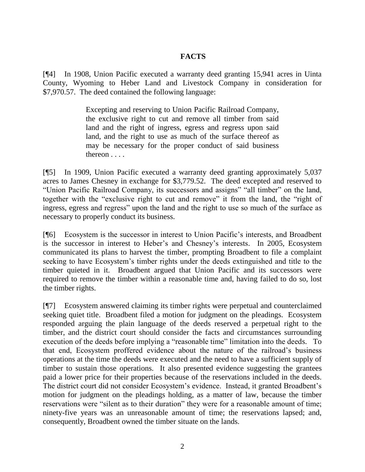# **FACTS**

[¶4] In 1908, Union Pacific executed a warranty deed granting 15,941 acres in Uinta County, Wyoming to Heber Land and Livestock Company in consideration for \$7,970.57. The deed contained the following language:

> Excepting and reserving to Union Pacific Railroad Company, the exclusive right to cut and remove all timber from said land and the right of ingress, egress and regress upon said land, and the right to use as much of the surface thereof as may be necessary for the proper conduct of said business thereon . . . .

[¶5] In 1909, Union Pacific executed a warranty deed granting approximately 5,037 acres to James Chesney in exchange for \$3,779.52. The deed excepted and reserved to "Union Pacific Railroad Company, its successors and assigns" "all timber" on the land, together with the "exclusive right to cut and remove" it from the land, the "right of ingress, egress and regress" upon the land and the right to use so much of the surface as necessary to properly conduct its business.

[¶6] Ecosystem is the successor in interest to Union Pacific"s interests, and Broadbent is the successor in interest to Heber's and Chesney's interests. In 2005, Ecosystem communicated its plans to harvest the timber, prompting Broadbent to file a complaint seeking to have Ecosystem's timber rights under the deeds extinguished and title to the timber quieted in it. Broadbent argued that Union Pacific and its successors were required to remove the timber within a reasonable time and, having failed to do so, lost the timber rights.

[¶7] Ecosystem answered claiming its timber rights were perpetual and counterclaimed seeking quiet title. Broadbent filed a motion for judgment on the pleadings. Ecosystem responded arguing the plain language of the deeds reserved a perpetual right to the timber, and the district court should consider the facts and circumstances surrounding execution of the deeds before implying a "reasonable time" limitation into the deeds. To that end, Ecosystem proffered evidence about the nature of the railroad"s business operations at the time the deeds were executed and the need to have a sufficient supply of timber to sustain those operations. It also presented evidence suggesting the grantees paid a lower price for their properties because of the reservations included in the deeds. The district court did not consider Ecosystem's evidence. Instead, it granted Broadbent's motion for judgment on the pleadings holding, as a matter of law, because the timber reservations were "silent as to their duration" they were for a reasonable amount of time; ninety-five years was an unreasonable amount of time; the reservations lapsed; and, consequently, Broadbent owned the timber situate on the lands.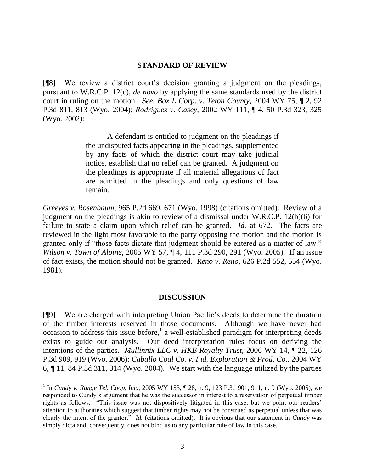#### **STANDARD OF REVIEW**

[¶8] We review a district court"s decision granting a judgment on the pleadings, pursuant to W.R.C.P. 12(c), *de novo* by applying the same standards used by the district court in ruling on the motion. *See*, *Box L Corp. v. Teton County,* 2004 WY 75, ¶ 2, 92 P.3d 811, 813 (Wyo. 2004); *Rodriguez v. Casey*, 2002 WY 111, ¶ 4, 50 P.3d 323, 325 (Wyo. 2002):

> A defendant is entitled to judgment on the pleadings if the undisputed facts appearing in the pleadings, supplemented by any facts of which the district court may take judicial notice, establish that no relief can be granted. A judgment on the pleadings is appropriate if all material allegations of fact are admitted in the pleadings and only questions of law remain.

*Greeves v. Rosenbaum*, 965 P.2d 669, 671 (Wyo. 1998) (citations omitted). Review of a judgment on the pleadings is akin to review of a dismissal under W.R.C.P. 12(b)(6) for failure to state a claim upon which relief can be granted. *Id.* at 672. The facts are reviewed in the light most favorable to the party opposing the motion and the motion is granted only if "those facts dictate that judgment should be entered as a matter of law." *Wilson v. Town of Alpine,* 2005 WY 57, ¶ 4, 111 P.3d 290, 291 (Wyo. 2005). If an issue of fact exists, the motion should not be granted. *Reno v. Reno,* 626 P.2d 552, 554 (Wyo. 1981).

#### **DISCUSSION**

[¶9] We are charged with interpreting Union Pacific"s deeds to determine the duration of the timber interests reserved in those documents. Although we have never had occasion to address this issue before,<sup>1</sup> a well-established paradigm for interpreting deeds exists to guide our analysis. Our deed interpretation rules focus on deriving the intentions of the parties. *Mullinnix LLC v. HKB Royalty Trust,* 2006 WY 14, ¶ 22, 126 P.3d 909, 919 (Wyo. 2006); *Caballo Coal Co. v. Fid. Exploration & Prod. Co.,* 2004 WY 6, ¶ 11, 84 P.3d 311, 314 (Wyo. 2004). We start with the language utilized by the parties

 $\overline{a}$ 

<sup>&</sup>lt;sup>1</sup> In *Cundy v. Range Tel. Coop, Inc.,* 2005 WY 153, ¶ 28, n. 9, 123 P.3d 901, 911, n. 9 (Wyo. 2005), we responded to Cundy"s argument that he was the successor in interest to a reservation of perpetual timber rights as follows: "This issue was not dispositively litigated in this case, but we point our readers" attention to authorities which suggest that timber rights may not be construed as perpetual unless that was clearly the intent of the grantor." *Id.* (citations omitted). It is obvious that our statement in *Cundy* was simply dicta and, consequently, does not bind us to any particular rule of law in this case.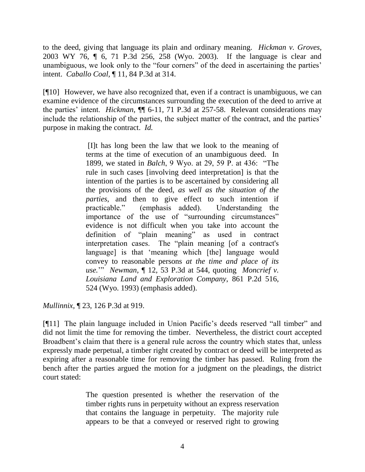to the deed, giving that language its plain and ordinary meaning. *Hickman v. Groves,*  2003 WY 76, ¶ 6, 71 P.3d 256, 258 (Wyo. 2003). If the language is clear and unambiguous, we look only to the "four corners" of the deed in ascertaining the parties" intent. *Caballo Coal,* ¶ 11, 84 P.3d at 314.

[¶10] However, we have also recognized that, even if a contract is unambiguous, we can examine evidence of the circumstances surrounding the execution of the deed to arrive at the parties" intent. *Hickman,* ¶¶ 6-11, 71 P.3d at 257-58. Relevant considerations may include the relationship of the parties, the subject matter of the contract, and the parties' purpose in making the contract. *Id.* 

> [I]t has long been the law that we look to the meaning of terms at the time of execution of an unambiguous deed. In 1899, we stated in *Balch*, 9 Wyo. at 29, 59 P. at 436: "The rule in such cases [involving deed interpretation] is that the intention of the parties is to be ascertained by considering all the provisions of the deed, *as well as the situation of the parties*, and then to give effect to such intention if practicable." (emphasis added). Understanding the importance of the use of "surrounding circumstances" evidence is not difficult when you take into account the definition of "plain meaning" as used in contract interpretation cases. The "plain meaning [of a contract's language] is that "meaning which [the] language would convey to reasonable persons *at the time and place of its use.*"" *Newman*, ¶ 12, 53 P.3d at 544, quoting *Moncrief v. Louisiana Land and Exploration Company*, 861 P.2d 516, 524 (Wyo. 1993) (emphasis added).

*Mullinnix,* ¶ 23, 126 P.3d at 919.

[¶11] The plain language included in Union Pacific"s deeds reserved "all timber" and did not limit the time for removing the timber. Nevertheless, the district court accepted Broadbent's claim that there is a general rule across the country which states that, unless expressly made perpetual, a timber right created by contract or deed will be interpreted as expiring after a reasonable time for removing the timber has passed. Ruling from the bench after the parties argued the motion for a judgment on the pleadings, the district court stated:

> The question presented is whether the reservation of the timber rights runs in perpetuity without an express reservation that contains the language in perpetuity. The majority rule appears to be that a conveyed or reserved right to growing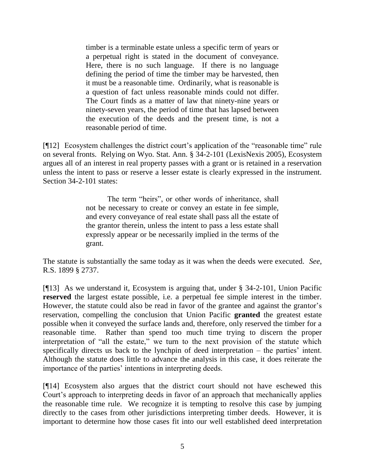timber is a terminable estate unless a specific term of years or a perpetual right is stated in the document of conveyance. Here, there is no such language. If there is no language defining the period of time the timber may be harvested, then it must be a reasonable time. Ordinarily, what is reasonable is a question of fact unless reasonable minds could not differ. The Court finds as a matter of law that ninety-nine years or ninety-seven years, the period of time that has lapsed between the execution of the deeds and the present time, is not a reasonable period of time.

[¶12] Ecosystem challenges the district court"s application of the "reasonable time" rule on several fronts. Relying on Wyo. Stat. Ann. § 34-2-101 (LexisNexis 2005), Ecosystem argues all of an interest in real property passes with a grant or is retained in a reservation unless the intent to pass or reserve a lesser estate is clearly expressed in the instrument. Section 34-2-101 states:

> The term "heirs", or other words of inheritance, shall not be necessary to create or convey an estate in fee simple, and every conveyance of real estate shall pass all the estate of the grantor therein, unless the intent to pass a less estate shall expressly appear or be necessarily implied in the terms of the grant.

The statute is substantially the same today as it was when the deeds were executed. *See*, R.S. 1899 § 2737.

[¶13] As we understand it, Ecosystem is arguing that, under § 34-2-101, Union Pacific **reserved** the largest estate possible, i.e. a perpetual fee simple interest in the timber. However, the statute could also be read in favor of the grantee and against the grantor's reservation, compelling the conclusion that Union Pacific **granted** the greatest estate possible when it conveyed the surface lands and, therefore, only reserved the timber for a reasonable time. Rather than spend too much time trying to discern the proper interpretation of "all the estate," we turn to the next provision of the statute which specifically directs us back to the lynchpin of deed interpretation  $-$  the parties' intent. Although the statute does little to advance the analysis in this case, it does reiterate the importance of the parties' intentions in interpreting deeds.

[¶14] Ecosystem also argues that the district court should not have eschewed this Court"s approach to interpreting deeds in favor of an approach that mechanically applies the reasonable time rule. We recognize it is tempting to resolve this case by jumping directly to the cases from other jurisdictions interpreting timber deeds. However, it is important to determine how those cases fit into our well established deed interpretation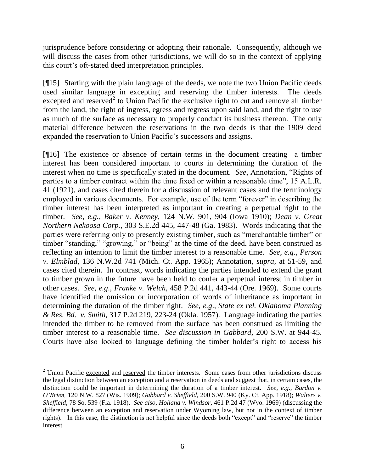jurisprudence before considering or adopting their rationale. Consequently, although we will discuss the cases from other jurisdictions, we will do so in the context of applying this court"s oft-stated deed interpretation principles.

[¶15] Starting with the plain language of the deeds, we note the two Union Pacific deeds used similar language in excepting and reserving the timber interests. The deeds excepted and reserved<sup>2</sup> to Union Pacific the exclusive right to cut and remove all timber from the land, the right of ingress, egress and regress upon said land, and the right to use as much of the surface as necessary to properly conduct its business thereon. The only material difference between the reservations in the two deeds is that the 1909 deed expanded the reservation to Union Pacific"s successors and assigns.

[¶16] The existence or absence of certain terms in the document creating a timber interest has been considered important to courts in determining the duration of the interest when no time is specifically stated in the document. *See*, Annotation, "Rights of parties to a timber contract within the time fixed or within a reasonable time", 15 A.L.R. 41 (1921), and cases cited therein for a discussion of relevant cases and the terminology employed in various documents. For example, use of the term "forever" in describing the timber interest has been interpreted as important in creating a perpetual right to the timber. *See, e.g., Baker v. Kenney,* 124 N.W. 901, 904 (Iowa 1910); *Dean v. Great Northern Nekoosa Corp.*, 303 S.E.2d 445, 447-48 (Ga. 1983). Words indicating that the parties were referring only to presently existing timber, such as "merchantable timber" or timber "standing," "growing," or "being" at the time of the deed, have been construed as reflecting an intention to limit the timber interest to a reasonable time. *See, e.g*., *Person v. Elmblad,* 136 N.W.2d 741 (Mich. Ct. App. 1965); Annotation, *supra,* at 51-59, and cases cited therein. In contrast, words indicating the parties intended to extend the grant to timber grown in the future have been held to confer a perpetual interest in timber in other cases. *See, e.g*., *Franke v. Welch,* 458 P.2d 441, 443-44 (Ore. 1969). Some courts have identified the omission or incorporation of words of inheritance as important in determining the duration of the timber right. *See, e.g*., *State ex rel. Oklahoma Planning & Res. Bd. v. Smith,* 317 P.2d 219, 223-24 (Okla. 1957). Language indicating the parties intended the timber to be removed from the surface has been construed as limiting the timber interest to a reasonable time. *See discussion in Gabbard,* 200 S.W. at 944-45. Courts have also looked to language defining the timber holder"s right to access his

<sup>&</sup>lt;sup>2</sup> Union Pacific excepted and reserved the timber interests. Some cases from other jurisdictions discuss the legal distinction between an exception and a reservation in deeds and suggest that, in certain cases, the distinction could be important in determining the duration of a timber interest. *See, e.g*., *Bardon v. O'Brien,* 120 N.W. 827 (Wis. 1909); *Gabbard v. Sheffield,* 200 S.W. 940 (Ky. Ct. App. 1918); *Walters v. Sheffield,* 78 So. 539 (Fla. 1918). *See also*, *Holland v. Windsor,* 461 P.2d 47 (Wyo. 1969) (discussing the difference between an exception and reservation under Wyoming law, but not in the context of timber rights). In this case, the distinction is not helpful since the deeds both "except" and "reserve" the timber interest.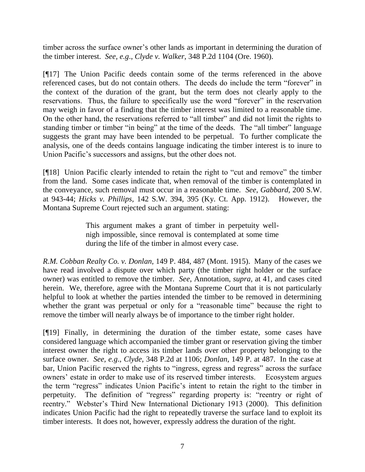timber across the surface owner"s other lands as important in determining the duration of the timber interest. *See, e.g*., *Clyde v. Walker,* 348 P.2d 1104 (Ore. 1960).

[¶17] The Union Pacific deeds contain some of the terms referenced in the above referenced cases, but do not contain others. The deeds do include the term "forever" in the context of the duration of the grant, but the term does not clearly apply to the reservations. Thus, the failure to specifically use the word "forever" in the reservation may weigh in favor of a finding that the timber interest was limited to a reasonable time. On the other hand, the reservations referred to "all timber" and did not limit the rights to standing timber or timber "in being" at the time of the deeds. The "all timber" language suggests the grant may have been intended to be perpetual. To further complicate the analysis, one of the deeds contains language indicating the timber interest is to inure to Union Pacific"s successors and assigns, but the other does not.

[¶18] Union Pacific clearly intended to retain the right to "cut and remove" the timber from the land. Some cases indicate that, when removal of the timber is contemplated in the conveyance, such removal must occur in a reasonable time. *See*, *Gabbard,* 200 S.W. at 943-44; *Hicks v. Phillips,* 142 S.W. 394, 395 (Ky. Ct. App. 1912). However, the Montana Supreme Court rejected such an argument. stating:

> This argument makes a grant of timber in perpetuity wellnigh impossible, since removal is contemplated at some time during the life of the timber in almost every case.

*R.M. Cobban Realty Co. v. Donlan,* 149 P. 484, 487 (Mont. 1915). Many of the cases we have read involved a dispute over which party (the timber right holder or the surface owner) was entitled to remove the timber. *See*, Annotation, *supra,* at 41, and cases cited herein. We, therefore, agree with the Montana Supreme Court that it is not particularly helpful to look at whether the parties intended the timber to be removed in determining whether the grant was perpetual or only for a "reasonable time" because the right to remove the timber will nearly always be of importance to the timber right holder.

[¶19] Finally, in determining the duration of the timber estate, some cases have considered language which accompanied the timber grant or reservation giving the timber interest owner the right to access its timber lands over other property belonging to the surface owner. *See, e.g*., *Clyde,* 348 P.2d at 1106; *Donlan,* 149 P. at 487. In the case at bar, Union Pacific reserved the rights to "ingress, egress and regress" across the surface owners" estate in order to make use of its reserved timber interests. Ecosystem argues the term "regress" indicates Union Pacific"s intent to retain the right to the timber in perpetuity. The definition of "regress" regarding property is: "reentry or right of reentry." Webster's Third New International Dictionary 1913 (2000). This definition indicates Union Pacific had the right to repeatedly traverse the surface land to exploit its timber interests. It does not, however, expressly address the duration of the right.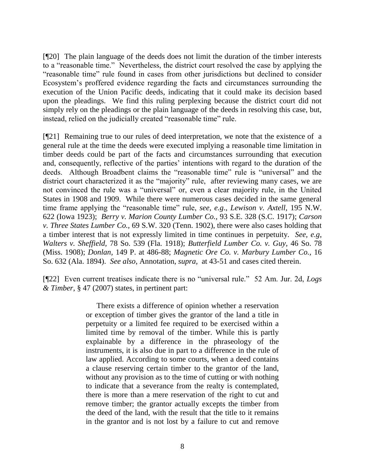[¶20] The plain language of the deeds does not limit the duration of the timber interests to a "reasonable time." Nevertheless, the district court resolved the case by applying the "reasonable time" rule found in cases from other jurisdictions but declined to consider Ecosystem"s proffered evidence regarding the facts and circumstances surrounding the execution of the Union Pacific deeds, indicating that it could make its decision based upon the pleadings. We find this ruling perplexing because the district court did not simply rely on the pleadings or the plain language of the deeds in resolving this case, but, instead, relied on the judicially created "reasonable time" rule.

[¶21] Remaining true to our rules of deed interpretation, we note that the existence of a general rule at the time the deeds were executed implying a reasonable time limitation in timber deeds could be part of the facts and circumstances surrounding that execution and, consequently, reflective of the parties' intentions with regard to the duration of the deeds. Although Broadbent claims the "reasonable time" rule is "universal" and the district court characterized it as the "majority" rule, after reviewing many cases, we are not convinced the rule was a "universal" or, even a clear majority rule, in the United States in 1908 and 1909. While there were numerous cases decided in the same general time frame applying the "reasonable time" rule, *see, e.g*., *Lewison v. Axtell,* 195 N.W. 622 (Iowa 1923); *Berry v. Marion County Lumber Co.,* 93 S.E. 328 (S.C. 1917); *Carson v. Three States Lumber Co.,* 69 S.W. 320 (Tenn. 1902), there were also cases holding that a timber interest that is not expressly limited in time continues in perpetuity. *See, e.g*, *Walters v. Sheffield,* 78 So. 539 (Fla. 1918); *Butterfield Lumber Co. v. Guy,* 46 So. 78 (Miss. 1908); *Donlan,* 149 P. at 486-88; *Magnetic Ore Co. v. Marbury Lumber Co.,* 16 So. 632 (Ala. 1894). *See also*, Annotation, *supra,* at 43-51 and cases cited therein.

[¶22] Even current treatises indicate there is no "universal rule." 52 Am. Jur. 2d, *Logs & Timber*, § 47 (2007) states, in pertinent part:

> There exists a difference of opinion whether a reservation or exception of timber gives the grantor of the land a title in perpetuity or a limited fee required to be exercised within a limited time by removal of the timber. While this is partly explainable by a difference in the phraseology of the instruments, it is also due in part to a difference in the rule of law applied. According to some courts, when a deed contains a clause reserving certain timber to the grantor of the land, without any provision as to the time of cutting or with nothing to indicate that a severance from the realty is contemplated, there is more than a mere reservation of the right to cut and remove timber; the grantor actually excepts the timber from the deed of the land, with the result that the title to it remains in the grantor and is not lost by a failure to cut and remove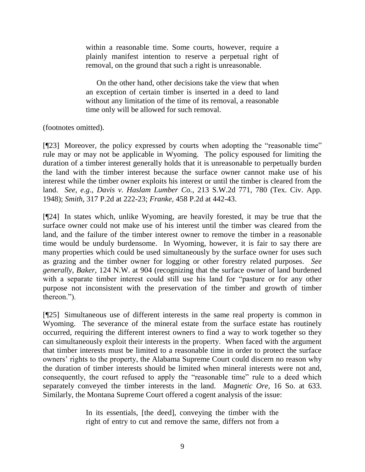within a reasonable time. Some courts, however, require a plainly manifest intention to reserve a perpetual right of removal, on the ground that such a right is unreasonable.

On the other hand, other decisions take the view that when an exception of certain timber is inserted in a deed to land without any limitation of the time of its removal, a reasonable time only will be allowed for such removal.

(footnotes omitted).

[¶23] Moreover, the policy expressed by courts when adopting the "reasonable time" rule may or may not be applicable in Wyoming. The policy espoused for limiting the duration of a timber interest generally holds that it is unreasonable to perpetually burden the land with the timber interest because the surface owner cannot make use of his interest while the timber owner exploits his interest or until the timber is cleared from the land. *See, e.g*., *Davis v. Haslam Lumber Co.,* 213 S.W.2d 771, 780 (Tex. Civ. App. 1948); *Smith,* 317 P.2d at 222-23; *Franke,* 458 P.2d at 442-43.

[¶24] In states which, unlike Wyoming, are heavily forested, it may be true that the surface owner could not make use of his interest until the timber was cleared from the land, and the failure of the timber interest owner to remove the timber in a reasonable time would be unduly burdensome. In Wyoming, however, it is fair to say there are many properties which could be used simultaneously by the surface owner for uses such as grazing and the timber owner for logging or other forestry related purposes. *See generally*, *Baker,* 124 N.W. at 904 (recognizing that the surface owner of land burdened with a separate timber interest could still use his land for "pasture or for any other purpose not inconsistent with the preservation of the timber and growth of timber thereon.").

[¶25] Simultaneous use of different interests in the same real property is common in Wyoming. The severance of the mineral estate from the surface estate has routinely occurred, requiring the different interest owners to find a way to work together so they can simultaneously exploit their interests in the property. When faced with the argument that timber interests must be limited to a reasonable time in order to protect the surface owners" rights to the property, the Alabama Supreme Court could discern no reason why the duration of timber interests should be limited when mineral interests were not and, consequently, the court refused to apply the "reasonable time" rule to a deed which separately conveyed the timber interests in the land. *Magnetic Ore,* 16 So. at 633. Similarly, the Montana Supreme Court offered a cogent analysis of the issue:

> In its essentials, [the deed], conveying the timber with the right of entry to cut and remove the same, differs not from a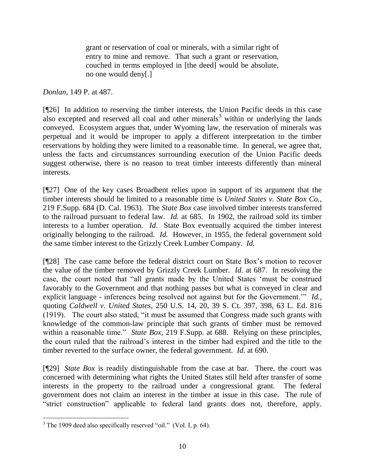grant or reservation of coal or minerals, with a similar right of entry to mine and remove. That such a grant or reservation, couched in terms employed in [the deed] would be absolute, no one would deny[.]

*Donlan,* 149 P. at 487.

[¶26] In addition to reserving the timber interests, the Union Pacific deeds in this case also excepted and reserved all coal and other minerals<sup>3</sup> within or underlying the lands conveyed. Ecosystem argues that, under Wyoming law, the reservation of minerals was perpetual and it would be improper to apply a different interpretation to the timber reservations by holding they were limited to a reasonable time. In general, we agree that, unless the facts and circumstances surrounding execution of the Union Pacific deeds suggest otherwise, there is no reason to treat timber interests differently than mineral interests.

[¶27] One of the key cases Broadbent relies upon in support of its argument that the timber interests should be limited to a reasonable time is *United States v. State Box Co.,*  219 F.Supp. 684 (D. Cal. 1963). The *State Box* case involved timber interests transferred to the railroad pursuant to federal law. *Id.* at 685. In 1902, the railroad sold its timber interests to a lumber operation. *Id.* State Box eventually acquired the timber interest originally belonging to the railroad. *Id.* However, in 1955, the federal government sold the same timber interest to the Grizzly Creek Lumber Company. *Id.* 

[¶28] The case came before the federal district court on State Box"s motion to recover the value of the timber removed by Grizzly Creek Lumber. *Id.* at 687. In resolving the case, the court noted that "all grants made by the United States "must be construed favorably to the Government and that nothing passes but what is conveyed in clear and explicit language - inferences being resolved not against but for the Government."" *Id.,*  quoting *Caldwell v. United States,* 250 U.S. 14, 20, 39 S. Ct. 397, 398, 63 L. Ed. 816 (1919). The court also stated, "it must be assumed that Congress made such grants with knowledge of the common-law principle that such grants of timber must be removed within a reasonable time." *State Box,* 219 F.Supp. at 688. Relying on these principles, the court ruled that the railroad"s interest in the timber had expired and the title to the timber reverted to the surface owner, the federal government. *Id.* at 690.

[¶29] *State Box* is readily distinguishable from the case at bar. There, the court was concerned with determining what rights the United States still held after transfer of some interests in the property to the railroad under a congressional grant. The federal government does not claim an interest in the timber at issue in this case. The rule of "strict construction" applicable to federal land grants does not, therefore, apply.

 $3$  The 1909 deed also specifically reserved "oil." (Vol. I, p. 64).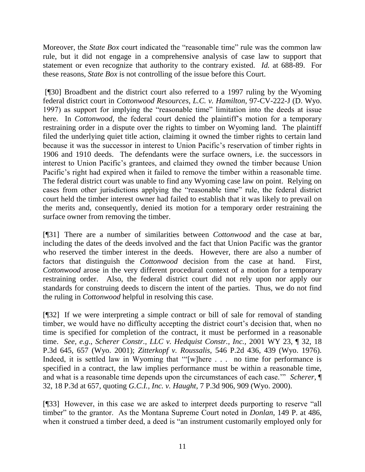Moreover, the *State Box* court indicated the "reasonable time" rule was the common law rule, but it did not engage in a comprehensive analysis of case law to support that statement or even recognize that authority to the contrary existed. *Id.* at 688-89. For these reasons, *State Box* is not controlling of the issue before this Court.

[¶30] Broadbent and the district court also referred to a 1997 ruling by the Wyoming federal district court in *Cottonwood Resources, L.C. v. Hamilton,* 97-CV-222-J (D. Wyo. 1997) as support for implying the "reasonable time" limitation into the deeds at issue here. In *Cottonwood*, the federal court denied the plaintiff's motion for a temporary restraining order in a dispute over the rights to timber on Wyoming land. The plaintiff filed the underlying quiet title action, claiming it owned the timber rights to certain land because it was the successor in interest to Union Pacific's reservation of timber rights in 1906 and 1910 deeds. The defendants were the surface owners, i.e. the successors in interest to Union Pacific's grantees, and claimed they owned the timber because Union Pacific's right had expired when it failed to remove the timber within a reasonable time. The federal district court was unable to find any Wyoming case law on point. Relying on cases from other jurisdictions applying the "reasonable time" rule, the federal district court held the timber interest owner had failed to establish that it was likely to prevail on the merits and, consequently, denied its motion for a temporary order restraining the surface owner from removing the timber.

[¶31] There are a number of similarities between *Cottonwood* and the case at bar, including the dates of the deeds involved and the fact that Union Pacific was the grantor who reserved the timber interest in the deeds. However, there are also a number of factors that distinguish the *Cottonwood* decision from the case at hand. First, *Cottonwood* arose in the very different procedural context of a motion for a temporary restraining order. Also, the federal district court did not rely upon nor apply our standards for construing deeds to discern the intent of the parties. Thus, we do not find the ruling in *Cottonwood* helpful in resolving this case*.* 

[¶32] If we were interpreting a simple contract or bill of sale for removal of standing timber, we would have no difficulty accepting the district court's decision that, when no time is specified for completion of the contract, it must be performed in a reasonable time. *See, e.g*., *Scherer Constr., LLC v. Hedquist Constr., Inc.,* 2001 WY 23, ¶ 32, 18 P.3d 645, 657 (Wyo. 2001); *Zitterkopf v. Roussalis,* 546 P.2d 436, 439 (Wyo. 1976). Indeed, it is settled law in Wyoming that ""[w]here . . . no time for performance is specified in a contract, the law implies performance must be within a reasonable time, and what is a reasonable time depends upon the circumstances of each case."" *Scherer,* ¶ 32, 18 P.3d at 657, quoting *G.C.I., Inc. v. Haught*, 7 P.3d 906, 909 (Wyo. 2000).

[¶33] However, in this case we are asked to interpret deeds purporting to reserve "all timber" to the grantor. As the Montana Supreme Court noted in *Donlan,* 149 P. at 486, when it construed a timber deed, a deed is "an instrument customarily employed only for